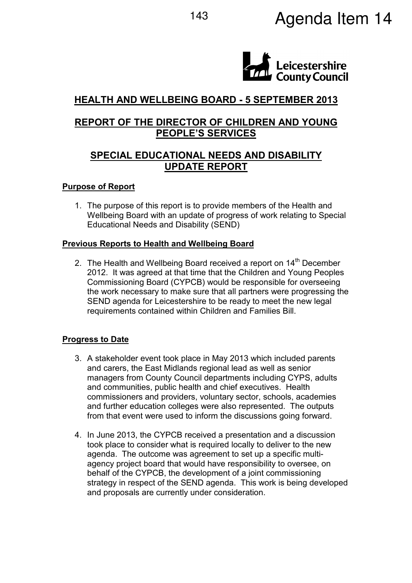

# HEALTH AND WELLBEING BOARD - 5 SEPTEMBER 2013

## REPORT OF THE DIRECTOR OF CHILDREN AND YOUNG PEOPLE'S SERVICES

# SPECIAL EDUCATIONAL NEEDS AND DISABILITY UPDATE REPORT

#### Purpose of Report

1. The purpose of this report is to provide members of the Health and Wellbeing Board with an update of progress of work relating to Special Educational Needs and Disability (SEND)

#### Previous Reports to Health and Wellbeing Board

2. The Health and Wellbeing Board received a report on  $14<sup>th</sup>$  December 2012. It was agreed at that time that the Children and Young Peoples Commissioning Board (CYPCB) would be responsible for overseeing the work necessary to make sure that all partners were progressing the SEND agenda for Leicestershire to be ready to meet the new legal requirements contained within Children and Families Bill.

### Progress to Date

- 3. A stakeholder event took place in May 2013 which included parents and carers, the East Midlands regional lead as well as senior managers from County Council departments including CYPS, adults and communities, public health and chief executives. Health commissioners and providers, voluntary sector, schools, academies and further education colleges were also represented. The outputs from that event were used to inform the discussions going forward.
- 4. In June 2013, the CYPCB received a presentation and a discussion took place to consider what is required locally to deliver to the new agenda. The outcome was agreement to set up a specific multiagency project board that would have responsibility to oversee, on behalf of the CYPCB, the development of a joint commissioning strategy in respect of the SEND agenda. This work is being developed and proposals are currently under consideration.